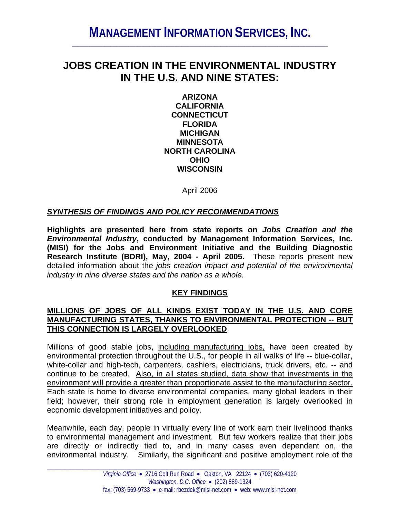# **MANAGEMENT INFORMATION SERVICES, INC.**

## **JOBS CREATION IN THE ENVIRONMENTAL INDUSTRY IN THE U.S. AND NINE STATES:**

**ARIZONA CALIFORNIA CONNECTICUT FLORIDA MICHIGAN MINNESOTA NORTH CAROLINA OHIO WISCONSIN** 

April 2006

#### *SYNTHESIS OF FINDINGS AND POLICY RECOMMENDATIONS*

**Highlights are presented here from state reports on** *Jobs Creation and the Environmental Industry***, conducted by Management Information Services, Inc. (MISI) for the Jobs and Environment Initiative and the Building Diagnostic Research Institute (BDRI), May, 2004 - April 2005.** These reports present new detailed information about the *jobs creation impact and potential of the environmental industry in nine diverse states and the nation as a whole.* 

#### **KEY FINDINGS**

#### **MILLIONS OF JOBS OF ALL KINDS EXIST TODAY IN THE U.S. AND CORE MANUFACTURING STATES, THANKS TO ENVIRONMENTAL PROTECTION -- BUT THIS CONNECTION IS LARGELY OVERLOOKED**

Millions of good stable jobs, including manufacturing jobs, have been created by environmental protection throughout the U.S., for people in all walks of life -- blue-collar, white-collar and high-tech, carpenters, cashiers, electricians, truck drivers, etc. -- and continue to be created. Also, in all states studied, data show that investments in the environment will provide a greater than proportionate assist to the manufacturing sector. Each state is home to diverse environmental companies, many global leaders in their field; however, their strong role in employment generation is largely overlooked in economic development initiatives and policy.

Meanwhile, each day, people in virtually every line of work earn their livelihood thanks to environmental management and investment. But few workers realize that their jobs are directly or indirectly tied to, and in many cases even dependent on, the environmental industry. Similarly, the significant and positive employment role of the

\_\_\_\_\_\_\_\_\_\_\_\_\_\_\_\_\_\_\_\_\_\_\_\_\_\_\_\_\_\_\_\_\_\_\_\_\_\_\_\_\_\_\_\_\_\_\_\_\_\_\_\_\_\_\_\_\_\_\_\_\_\_\_\_\_\_\_\_\_\_\_\_\_\_\_\_\_\_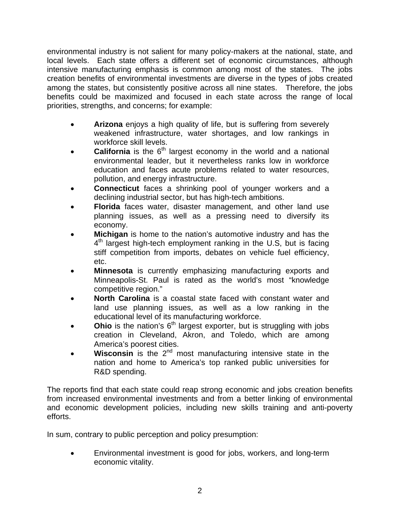environmental industry is not salient for many policy-makers at the national, state, and local levels. Each state offers a different set of economic circumstances, although intensive manufacturing emphasis is common among most of the states. The jobs creation benefits of environmental investments are diverse in the types of jobs created among the states, but consistently positive across all nine states. Therefore, the jobs benefits could be maximized and focused in each state across the range of local priorities, strengths, and concerns; for example:

- **Arizona** enjoys a high quality of life, but is suffering from severely weakened infrastructure, water shortages, and low rankings in workforce skill levels.
- **California** is the 6<sup>th</sup> largest economy in the world and a national environmental leader, but it nevertheless ranks low in workforce education and faces acute problems related to water resources, pollution, and energy infrastructure.
- **Connecticut** faces a shrinking pool of younger workers and a declining industrial sector, but has high-tech ambitions.
- **Florida** faces water, disaster management, and other land use planning issues, as well as a pressing need to diversify its economy.
- **Michigan** is home to the nation's automotive industry and has the  $4<sup>th</sup>$  largest high-tech employment ranking in the U.S, but is facing stiff competition from imports, debates on vehicle fuel efficiency, etc.
- **Minnesota** is currently emphasizing manufacturing exports and Minneapolis-St. Paul is rated as the world's most "knowledge competitive region."
- **North Carolina** is a coastal state faced with constant water and land use planning issues, as well as a low ranking in the educational level of its manufacturing workforce.
- Ohio is the nation's 6<sup>th</sup> largest exporter, but is struggling with jobs creation in Cleveland, Akron, and Toledo, which are among America's poorest cities.
- **Wisconsin** is the 2<sup>nd</sup> most manufacturing intensive state in the nation and home to America's top ranked public universities for R&D spending.

The reports find that each state could reap strong economic and jobs creation benefits from increased environmental investments and from a better linking of environmental and economic development policies, including new skills training and anti-poverty efforts.

In sum, contrary to public perception and policy presumption:

• Environmental investment is good for jobs, workers, and long-term economic vitality.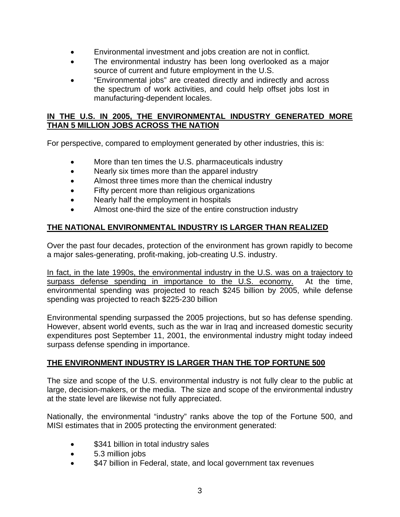- Environmental investment and jobs creation are not in conflict.
- The environmental industry has been long overlooked as a major source of current and future employment in the U.S.
- "Environmental jobs" are created directly and indirectly and across the spectrum of work activities, and could help offset jobs lost in manufacturing-dependent locales.

#### **IN THE U.S. IN 2005, THE ENVIRONMENTAL INDUSTRY GENERATED MORE THAN 5 MILLION JOBS ACROSS THE NATION**

For perspective, compared to employment generated by other industries, this is:

- More than ten times the U.S. pharmaceuticals industry
- Nearly six times more than the apparel industry
- Almost three times more than the chemical industry
- Fifty percent more than religious organizations
- Nearly half the employment in hospitals
- Almost one-third the size of the entire construction industry

## **THE NATIONAL ENVIRONMENTAL INDUSTRY IS LARGER THAN REALIZED**

Over the past four decades, protection of the environment has grown rapidly to become a major sales-generating, profit-making, job-creating U.S. industry.

In fact, in the late 1990s, the environmental industry in the U.S. was on a trajectory to surpass defense spending in importance to the U.S. economy. At the time, environmental spending was projected to reach \$245 billion by 2005, while defense spending was projected to reach \$225-230 billion

Environmental spending surpassed the 2005 projections, but so has defense spending. However, absent world events, such as the war in Iraq and increased domestic security expenditures post September 11, 2001, the environmental industry might today indeed surpass defense spending in importance.

## **THE ENVIRONMENT INDUSTRY IS LARGER THAN THE TOP FORTUNE 500**

The size and scope of the U.S. environmental industry is not fully clear to the public at large, decision-makers, or the media. The size and scope of the environmental industry at the state level are likewise not fully appreciated.

Nationally, the environmental "industry" ranks above the top of the Fortune 500, and MISI estimates that in 2005 protecting the environment generated:

- \$341 billion in total industry sales
- 5.3 million jobs
- \$47 billion in Federal, state, and local government tax revenues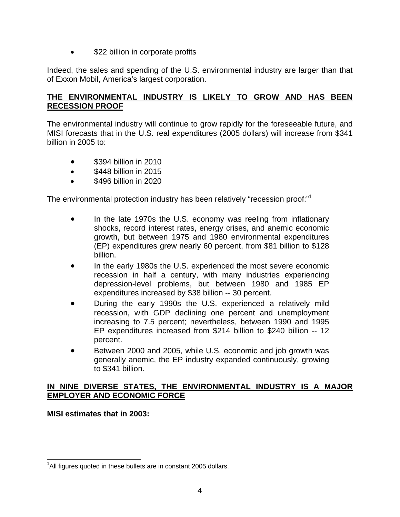\$22 billion in corporate profits

#### Indeed, the sales and spending of the U.S. environmental industry are larger than that of Exxon Mobil, America's largest corporation.

#### **THE ENVIRONMENTAL INDUSTRY IS LIKELY TO GROW AND HAS BEEN RECESSION PROOF**

The environmental industry will continue to grow rapidly for the foreseeable future, and MISI forecasts that in the U.S. real expenditures (2005 dollars) will increase from \$341 billion in 2005 to:

- \$394 billion in 2010
- \$448 billion in 2015
- \$496 billion in 2020

The environmental protection industry has been relatively "recession proof:"1

- In the late 1970s the U.S. economy was reeling from inflationary shocks, record interest rates, energy crises, and anemic economic growth, but between 1975 and 1980 environmental expenditures (EP) expenditures grew nearly 60 percent, from \$81 billion to \$128 billion.
- In the early 1980s the U.S. experienced the most severe economic recession in half a century, with many industries experiencing depression-level problems, but between 1980 and 1985 EP expenditures increased by \$38 billion -- 30 percent.
- During the early 1990s the U.S. experienced a relatively mild recession, with GDP declining one percent and unemployment increasing to 7.5 percent; nevertheless, between 1990 and 1995 EP expenditures increased from \$214 billion to \$240 billion -- 12 percent.
- Between 2000 and 2005, while U.S. economic and job growth was generally anemic, the EP industry expanded continuously, growing to \$341 billion.

#### **IN NINE DIVERSE STATES, THE ENVIRONMENTAL INDUSTRY IS A MAJOR EMPLOYER AND ECONOMIC FORCE**

**MISI estimates that in 2003:** 

 $\overline{a}$  $1$ All figures quoted in these bullets are in constant 2005 dollars.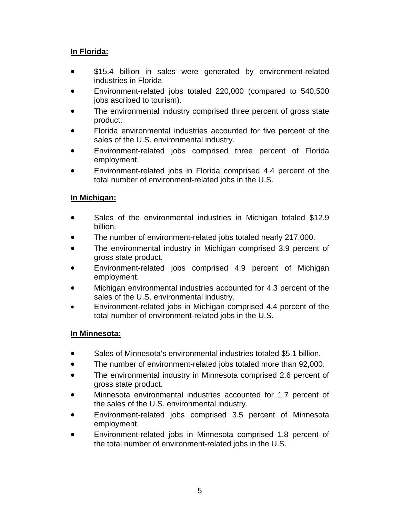## **In Florida:**

- \$15.4 billion in sales were generated by environment-related industries in Florida
- Environment-related jobs totaled 220,000 (compared to 540,500 jobs ascribed to tourism).
- The environmental industry comprised three percent of gross state product.
- Florida environmental industries accounted for five percent of the sales of the U.S. environmental industry.
- Environment-related jobs comprised three percent of Florida employment.
- Environment-related jobs in Florida comprised 4.4 percent of the total number of environment-related jobs in the U.S.

## **In Michigan:**

- Sales of the environmental industries in Michigan totaled \$12.9 billion.
- The number of environment-related jobs totaled nearly 217,000.
- The environmental industry in Michigan comprised 3.9 percent of gross state product.
- Environment-related jobs comprised 4.9 percent of Michigan employment.
- Michigan environmental industries accounted for 4.3 percent of the sales of the U.S. environmental industry.
- Environment-related jobs in Michigan comprised 4.4 percent of the total number of environment-related jobs in the U.S.

## **In Minnesota:**

- Sales of Minnesota's environmental industries totaled \$5.1 billion.
- The number of environment-related jobs totaled more than 92,000.
- The environmental industry in Minnesota comprised 2.6 percent of gross state product.
- Minnesota environmental industries accounted for 1.7 percent of the sales of the U.S. environmental industry.
- Environment-related jobs comprised 3.5 percent of Minnesota employment.
- Environment-related jobs in Minnesota comprised 1.8 percent of the total number of environment-related jobs in the U.S.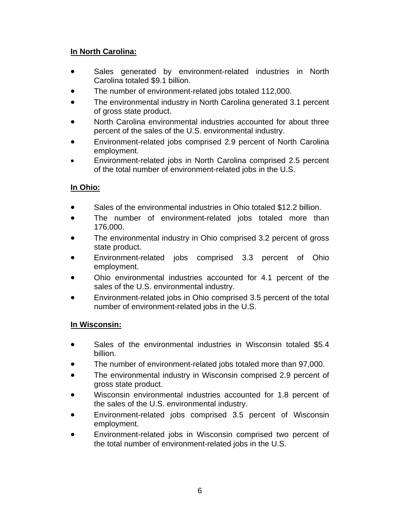## **In North Carolina:**

- Sales generated by environment-related industries in North Carolina totaled \$9.1 billion.
- The number of environment-related jobs totaled 112,000.
- The environmental industry in North Carolina generated 3.1 percent of gross state product.
- North Carolina environmental industries accounted for about three percent of the sales of the U.S. environmental industry.
- Environment-related jobs comprised 2.9 percent of North Carolina employment.
- Environment-related jobs in North Carolina comprised 2.5 percent of the total number of environment-related jobs in the U.S.

## **In Ohio:**

- Sales of the environmental industries in Ohio totaled \$12.2 billion.
- The number of environment-related jobs totaled more than 176,000.
- The environmental industry in Ohio comprised 3.2 percent of gross state product.
- Environment-related jobs comprised 3.3 percent of Ohio employment.
- Ohio environmental industries accounted for 4.1 percent of the sales of the U.S. environmental industry.
- Environment-related jobs in Ohio comprised 3.5 percent of the total number of environment-related jobs in the U.S.

## **In Wisconsin:**

- Sales of the environmental industries in Wisconsin totaled \$5.4 billion.
- The number of environment-related jobs totaled more than 97,000.
- The environmental industry in Wisconsin comprised 2.9 percent of gross state product.
- Wisconsin environmental industries accounted for 1.8 percent of the sales of the U.S. environmental industry.
- Environment-related jobs comprised 3.5 percent of Wisconsin employment.
- Environment-related jobs in Wisconsin comprised two percent of the total number of environment-related jobs in the U.S.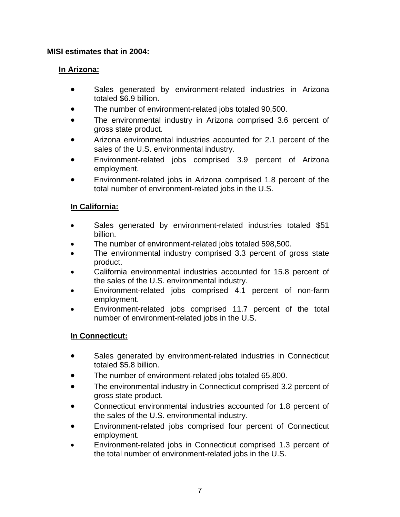#### **MISI estimates that in 2004:**

## **In Arizona:**

- Sales generated by environment-related industries in Arizona totaled \$6.9 billion.
- The number of environment-related jobs totaled 90,500.
- The environmental industry in Arizona comprised 3.6 percent of gross state product.
- Arizona environmental industries accounted for 2.1 percent of the sales of the U.S. environmental industry.
- Environment-related jobs comprised 3.9 percent of Arizona employment.
- Environment-related jobs in Arizona comprised 1.8 percent of the total number of environment-related jobs in the U.S.

## **In California:**

- Sales generated by environment-related industries totaled \$51 billion.
- The number of environment-related jobs totaled 598,500.
- The environmental industry comprised 3.3 percent of gross state product.
- California environmental industries accounted for 15.8 percent of the sales of the U.S. environmental industry.
- Environment-related jobs comprised 4.1 percent of non-farm employment.
- Environment-related jobs comprised 11.7 percent of the total number of environment-related jobs in the U.S.

## **In Connecticut:**

- Sales generated by environment-related industries in Connecticut totaled \$5.8 billion.
- The number of environment-related jobs totaled 65,800.
- The environmental industry in Connecticut comprised 3.2 percent of gross state product.
- Connecticut environmental industries accounted for 1.8 percent of the sales of the U.S. environmental industry.
- Environment-related jobs comprised four percent of Connecticut employment.
- Environment-related jobs in Connecticut comprised 1.3 percent of the total number of environment-related jobs in the U.S.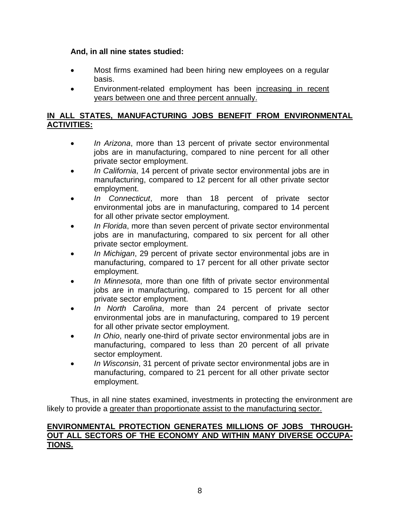#### **And, in all nine states studied:**

- Most firms examined had been hiring new employees on a regular basis.
- Environment-related employment has been increasing in recent years between one and three percent annually.

#### **IN ALL STATES, MANUFACTURING JOBS BENEFIT FROM ENVIRONMENTAL ACTIVITIES:**

- *In Arizona*, more than 13 percent of private sector environmental jobs are in manufacturing, compared to nine percent for all other private sector employment.
- *In California*, 14 percent of private sector environmental jobs are in manufacturing, compared to 12 percent for all other private sector employment.
- *In Connecticut*, more than 18 percent of private sector environmental jobs are in manufacturing, compared to 14 percent for all other private sector employment.
- *In Florida*, more than seven percent of private sector environmental jobs are in manufacturing, compared to six percent for all other private sector employment.
- *In Michigan*, 29 percent of private sector environmental jobs are in manufacturing, compared to 17 percent for all other private sector employment.
- *In Minnesota*, more than one fifth of private sector environmental jobs are in manufacturing, compared to 15 percent for all other private sector employment.
- *In North Carolina*, more than 24 percent of private sector environmental jobs are in manufacturing, compared to 19 percent for all other private sector employment.
- *In Ohio*, nearly one-third of private sector environmental jobs are in manufacturing, compared to less than 20 percent of all private sector employment.
- *In Wisconsin*, 31 percent of private sector environmental jobs are in manufacturing, compared to 21 percent for all other private sector employment.

Thus, in all nine states examined, investments in protecting the environment are likely to provide a greater than proportionate assist to the manufacturing sector.

#### **ENVIRONMENTAL PROTECTION GENERATES MILLIONS OF JOBS THROUGH-OUT ALL SECTORS OF THE ECONOMY AND WITHIN MANY DIVERSE OCCUPA-TIONS.**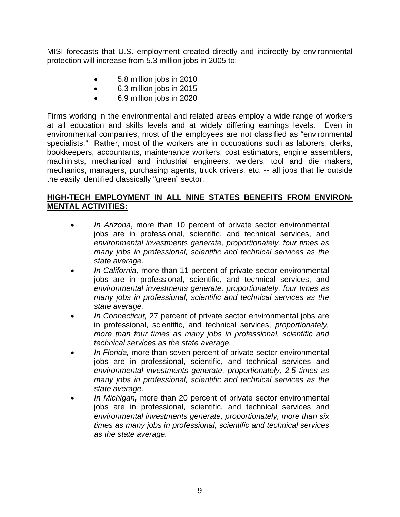MISI forecasts that U.S. employment created directly and indirectly by environmental protection will increase from 5.3 million jobs in 2005 to:

- 5.8 million jobs in 2010
- 6.3 million jobs in 2015
- 6.9 million jobs in 2020

Firms working in the environmental and related areas employ a wide range of workers at all education and skills levels and at widely differing earnings levels. Even in environmental companies, most of the employees are not classified as "environmental specialists." Rather, most of the workers are in occupations such as laborers, clerks, bookkeepers, accountants, maintenance workers, cost estimators, engine assemblers, machinists, mechanical and industrial engineers, welders, tool and die makers, mechanics, managers, purchasing agents, truck drivers, etc. -- all jobs that lie outside the easily identified classically "green" sector.

## **HIGH-TECH EMPLOYMENT IN ALL NINE STATES BENEFITS FROM ENVIRON-MENTAL ACTIVITIES:**

- *In Arizona*, more than 10 percent of private sector environmental jobs are in professional, scientific, and technical services, and *environmental investments generate, proportionately, four times as many jobs in professional, scientific and technical services as the state average.*
- *In California,* more than 11 percent of private sector environmental jobs are in professional, scientific, and technical services, and *environmental investments generate, proportionately, four times as many jobs in professional, scientific and technical services as the state average.*
- *In Connecticut,* 27 percent of private sector environmental jobs are in professional, scientific, and technical services, *proportionately, more than four times as many jobs in professional, scientific and technical services as the state average.*
- *In Florida,* more than seven percent of private sector environmental jobs are in professional, scientific, and technical services and *environmental investments generate, proportionately, 2.5 times as many jobs in professional, scientific and technical services as the state average.*
- *In Michigan,* more than 20 percent of private sector environmental jobs are in professional, scientific, and technical services and *environmental investments generate, proportionately, more than six times as many jobs in professional, scientific and technical services as the state average.*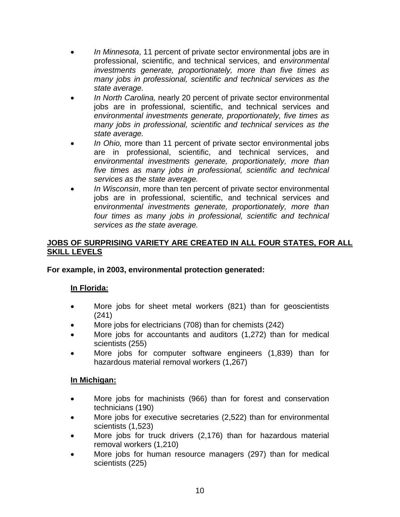- *In Minnesota*, 11 percent of private sector environmental jobs are in professional, scientific, and technical services, and e*nvironmental investments generate, proportionately, more than five times as many jobs in professional, scientific and technical services as the state average.*
- *In North Carolina,* nearly 20 percent of private sector environmental jobs are in professional, scientific, and technical services and *environmental investments generate, proportionately, five times as many jobs in professional, scientific and technical services as the state average.*
- *In Ohio,* more than 11 percent of private sector environmental jobs are in professional, scientific, and technical services, and *environmental investments generate, proportionately, more than five times as many jobs in professional, scientific and technical services as the state average.*
- *In Wisconsin*, more than ten percent of private sector environmental jobs are in professional, scientific, and technical services and e*nvironmental investments generate, proportionately, more than four times as many jobs in professional, scientific and technical services as the state average.*

## **JOBS OF SURPRISING VARIETY ARE CREATED IN ALL FOUR STATES, FOR ALL SKILL LEVELS**

## **For example, in 2003, environmental protection generated:**

## **In Florida:**

- More jobs for sheet metal workers (821) than for geoscientists (241)
- More jobs for electricians (708) than for chemists (242)
- More jobs for accountants and auditors (1,272) than for medical scientists (255)
- More jobs for computer software engineers (1,839) than for hazardous material removal workers (1,267)

## **In Michigan:**

- More jobs for machinists (966) than for forest and conservation technicians (190)
- More jobs for executive secretaries (2,522) than for environmental scientists (1,523)
- More jobs for truck drivers (2,176) than for hazardous material removal workers (1,210)
- More jobs for human resource managers (297) than for medical scientists (225)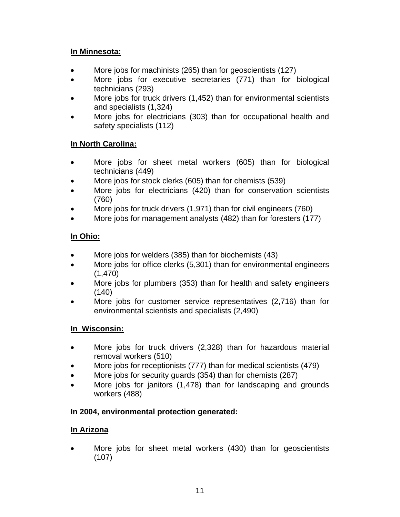## **In Minnesota:**

- More jobs for machinists (265) than for geoscientists (127)
- More jobs for executive secretaries (771) than for biological technicians (293)
- More jobs for truck drivers (1,452) than for environmental scientists and specialists (1,324)
- More jobs for electricians (303) than for occupational health and safety specialists (112)

## **In North Carolina:**

- More jobs for sheet metal workers (605) than for biological technicians (449)
- More jobs for stock clerks (605) than for chemists (539)
- More jobs for electricians (420) than for conservation scientists (760)
- More jobs for truck drivers (1,971) than for civil engineers (760)
- More jobs for management analysts (482) than for foresters (177)

## **In Ohio:**

- More jobs for welders (385) than for biochemists (43)
- More jobs for office clerks (5,301) than for environmental engineers (1,470)
- More jobs for plumbers (353) than for health and safety engineers  $(140)$
- More jobs for customer service representatives (2,716) than for environmental scientists and specialists (2,490)

## **In Wisconsin:**

- More jobs for truck drivers (2,328) than for hazardous material removal workers (510)
- More jobs for receptionists (777) than for medical scientists (479)
- More jobs for security guards (354) than for chemists (287)
- More jobs for janitors (1,478) than for landscaping and grounds workers (488)

## **In 2004, environmental protection generated:**

## **In Arizona**

More jobs for sheet metal workers (430) than for geoscientists (107)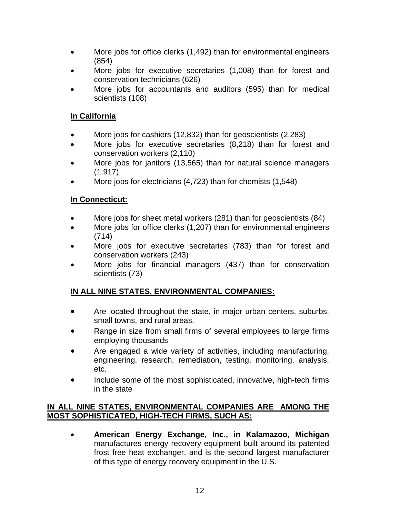- More jobs for office clerks (1,492) than for environmental engineers (854)
- More jobs for executive secretaries (1,008) than for forest and conservation technicians (626)
- More jobs for accountants and auditors (595) than for medical scientists (108)

## **In California**

- More jobs for cashiers (12,832) than for geoscientists (2,283)
- More jobs for executive secretaries (8,218) than for forest and conservation workers (2,110)
- More jobs for janitors (13,565) than for natural science managers (1,917)
- More jobs for electricians (4,723) than for chemists (1,548)

## **In Connecticut:**

- More jobs for sheet metal workers (281) than for geoscientists (84)
- More jobs for office clerks (1,207) than for environmental engineers (714)
- More jobs for executive secretaries (783) than for forest and conservation workers (243)
- More jobs for financial managers (437) than for conservation scientists (73)

## **IN ALL NINE STATES, ENVIRONMENTAL COMPANIES:**

- Are located throughout the state, in major urban centers, suburbs, small towns, and rural areas.
- Range in size from small firms of several employees to large firms employing thousands
- Are engaged a wide variety of activities, including manufacturing, engineering, research, remediation, testing, monitoring, analysis, etc.
- Include some of the most sophisticated, innovative, high-tech firms in the state

#### **IN ALL NINE STATES, ENVIRONMENTAL COMPANIES ARE AMONG THE MOST SOPHISTICATED, HIGH-TECH FIRMS, SUCH AS:**

• **American Energy Exchange, Inc., in Kalamazoo, Michigan**  manufactures energy recovery equipment built around its patented frost free heat exchanger, and is the second largest manufacturer of this type of energy recovery equipment in the U.S.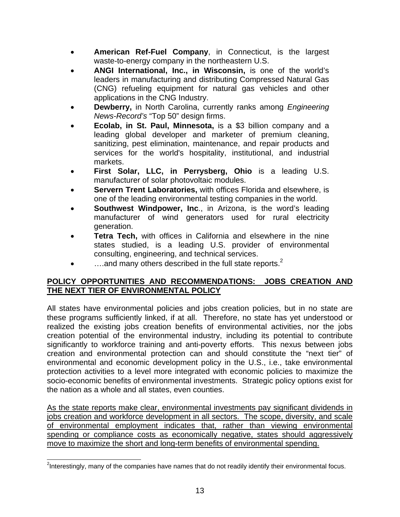- **American Ref-Fuel Company**, in Connecticut, is the largest waste-to-energy company in the northeastern U.S.
- **ANGI International, Inc., in Wisconsin,** is one of the world's leaders in manufacturing and distributing Compressed Natural Gas (CNG) refueling equipment for natural gas vehicles and other applications in the CNG Industry.
- **Dewberry,** in North Carolina, currently ranks among *Engineering News-Record's* "Top 50" design firms.
- **Ecolab, in St. Paul, Minnesota,** is a \$3 billion company and a leading global developer and marketer of premium cleaning, sanitizing, pest elimination, maintenance, and repair products and services for the world's hospitality, institutional, and industrial markets.
- **First Solar, LLC, in Perrysberg, Ohio** is a leading U.S. manufacturer of solar photovoltaic modules.
- **Servern Trent Laboratories, with offices Florida and elsewhere, is** one of the leading environmental testing companies in the world.
- **Southwest Windpower, Inc., in Arizona, is the word's leading** manufacturer of wind generators used for rural electricity generation.
- **Tetra Tech,** with offices in California and elsewhere in the nine states studied, is a leading U.S. provider of environmental consulting, engineering, and technical services.
- $\ldots$  and many others described in the full state reports.<sup>2</sup>

#### **POLICY OPPORTUNITIES AND RECOMMENDATIONS: JOBS CREATION AND THE NEXT TIER OF ENVIRONMENTAL POLICY**

All states have environmental policies and jobs creation policies, but in no state are these programs sufficiently linked, if at all. Therefore, no state has yet understood or realized the existing jobs creation benefits of environmental activities, nor the jobs creation potential of the environmental industry, including its potential to contribute significantly to workforce training and anti-poverty efforts. This nexus between jobs creation and environmental protection can and should constitute the "next tier" of environmental and economic development policy in the U.S., i.e., take environmental protection activities to a level more integrated with economic policies to maximize the socio-economic benefits of environmental investments. Strategic policy options exist for the nation as a whole and all states, even counties.

As the state reports make clear, environmental investments pay significant dividends in jobs creation and workforce development in all sectors. The scope, diversity, and scale of environmental employment indicates that, rather than viewing environmental spending or compliance costs as economically negative, states should aggressively move to maximize the short and long-term benefits of environmental spending.

 $\overline{a}$ <sup>2</sup>Interestingly, many of the companies have names that do not readily identify their environmental focus.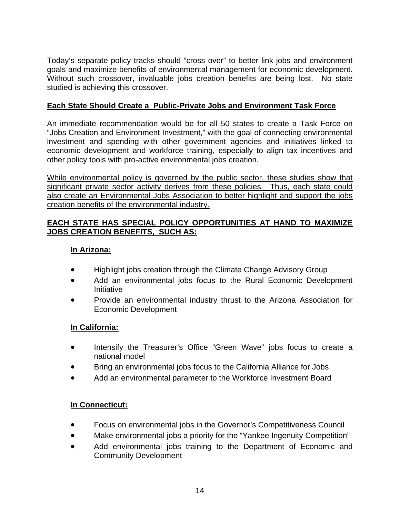Today's separate policy tracks should "cross over" to better link jobs and environment goals and maximize benefits of environmental management for economic development. Without such crossover, invaluable jobs creation benefits are being lost. No state studied is achieving this crossover.

## **Each State Should Create a Public-Private Jobs and Environment Task Force**

An immediate recommendation would be for all 50 states to create a Task Force on "Jobs Creation and Environment Investment," with the goal of connecting environmental investment and spending with other government agencies and initiatives linked to economic development and workforce training, especially to align tax incentives and other policy tools with pro-active environmental jobs creation.

While environmental policy is governed by the public sector, these studies show that significant private sector activity derives from these policies. Thus, each state could also create an Environmental Jobs Association to better highlight and support the jobs creation benefits of the environmental industry.

## **EACH STATE HAS SPECIAL POLICY OPPORTUNITIES AT HAND TO MAXIMIZE JOBS CREATION BENEFITS, SUCH AS:**

## **In Arizona:**

- Highlight jobs creation through the Climate Change Advisory Group
- Add an environmental jobs focus to the Rural Economic Development Initiative
- Provide an environmental industry thrust to the Arizona Association for Economic Development

## **In California:**

- Intensify the Treasurer's Office "Green Wave" jobs focus to create a national model
- Bring an environmental jobs focus to the California Alliance for Jobs
- Add an environmental parameter to the Workforce Investment Board

## **In Connecticut:**

- Focus on environmental jobs in the Governor's Competitiveness Council
- Make environmental jobs a priority for the "Yankee Ingenuity Competition"
- Add environmental jobs training to the Department of Economic and Community Development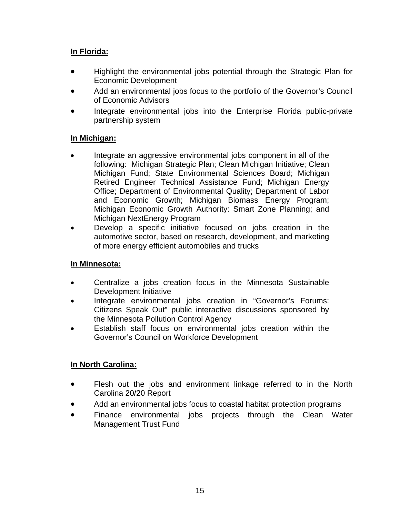## **In Florida:**

- Highlight the environmental jobs potential through the Strategic Plan for Economic Development
- Add an environmental jobs focus to the portfolio of the Governor's Council of Economic Advisors
- Integrate environmental jobs into the Enterprise Florida public-private partnership system

## **In Michigan:**

- Integrate an aggressive environmental jobs component in all of the following: Michigan Strategic Plan; Clean Michigan Initiative; Clean Michigan Fund; State Environmental Sciences Board; Michigan Retired Engineer Technical Assistance Fund; Michigan Energy Office; Department of Environmental Quality; Department of Labor and Economic Growth; Michigan Biomass Energy Program; Michigan Economic Growth Authority: Smart Zone Planning; and Michigan NextEnergy Program
- Develop a specific initiative focused on jobs creation in the automotive sector, based on research, development, and marketing of more energy efficient automobiles and trucks

## **In Minnesota:**

- Centralize a jobs creation focus in the Minnesota Sustainable Development Initiative
- Integrate environmental jobs creation in "Governor's Forums: Citizens Speak Out" public interactive discussions sponsored by the Minnesota Pollution Control Agency
- Establish staff focus on environmental jobs creation within the Governor's Council on Workforce Development

## **In North Carolina:**

- Flesh out the jobs and environment linkage referred to in the North Carolina 20/20 Report
- Add an environmental jobs focus to coastal habitat protection programs
- Finance environmental jobs projects through the Clean Water Management Trust Fund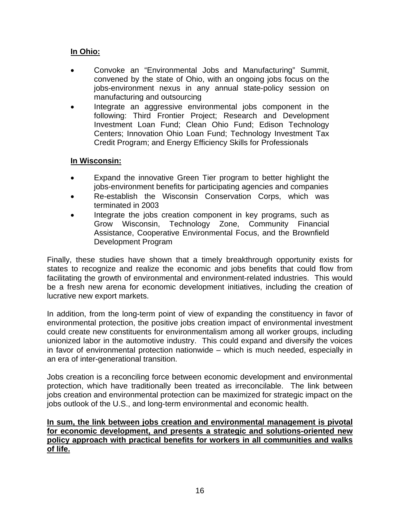## **In Ohio:**

- Convoke an "Environmental Jobs and Manufacturing" Summit, convened by the state of Ohio, with an ongoing jobs focus on the jobs-environment nexus in any annual state-policy session on manufacturing and outsourcing
- Integrate an aggressive environmental jobs component in the following: Third Frontier Project; Research and Development Investment Loan Fund; Clean Ohio Fund; Edison Technology Centers; Innovation Ohio Loan Fund; Technology Investment Tax Credit Program; and Energy Efficiency Skills for Professionals

## **In Wisconsin:**

- Expand the innovative Green Tier program to better highlight the jobs-environment benefits for participating agencies and companies
- Re-establish the Wisconsin Conservation Corps, which was terminated in 2003
- Integrate the jobs creation component in key programs, such as Grow Wisconsin, Technology Zone, Community Financial Assistance, Cooperative Environmental Focus, and the Brownfield Development Program

Finally, these studies have shown that a timely breakthrough opportunity exists for states to recognize and realize the economic and jobs benefits that could flow from facilitating the growth of environmental and environment-related industries. This would be a fresh new arena for economic development initiatives, including the creation of lucrative new export markets.

In addition, from the long-term point of view of expanding the constituency in favor of environmental protection, the positive jobs creation impact of environmental investment could create new constituents for environmentalism among all worker groups, including unionized labor in the automotive industry. This could expand and diversify the voices in favor of environmental protection nationwide – which is much needed, especially in an era of inter-generational transition.

Jobs creation is a reconciling force between economic development and environmental protection, which have traditionally been treated as irreconcilable. The link between jobs creation and environmental protection can be maximized for strategic impact on the jobs outlook of the U.S., and long-term environmental and economic health.

**In sum, the link between jobs creation and environmental management is pivotal for economic development, and presents a strategic and solutions-oriented new policy approach with practical benefits for workers in all communities and walks of life.**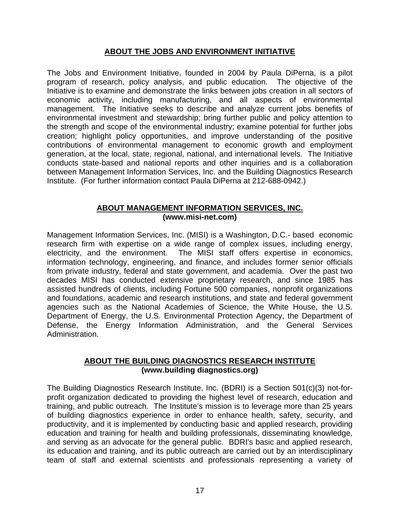#### **ABOUT THE JOBS AND ENVIRONMENT INITIATIVE**

The Jobs and Environment Initiative, founded in 2004 by Paula DiPerna, is a pilot program of research, policy analysis, and public education. The objective of the Initiative is to examine and demonstrate the links between jobs creation in all sectors of economic activity, including manufacturing, and all aspects of environmental management. The Initiative seeks to describe and analyze current jobs benefits of environmental investment and stewardship; bring further public and policy attention to the strength and scope of the environmental industry; examine potential for further jobs creation; highlight policy opportunities, and improve understanding of the positive contributions of environmental management to economic growth and employment generation, at the local, state, regional, national, and international levels. The Initiative conducts state-based and national reports and other inquiries and is a collaboration between Management Information Services, Inc. and the Building Diagnostics Research Institute. (For further information contact Paula DiPerna at 212-688-0942.)

#### **ABOUT MANAGEMENT INFORMATION SERVICES, INC. (www.misi-net.com)**

Management Information Services, Inc. (MISI) is a Washington, D.C.- based economic research firm with expertise on a wide range of complex issues, including energy, electricity, and the environment. The MISI staff offers expertise in economics, information technology, engineering, and finance, and includes former senior officials from private industry, federal and state government, and academia. Over the past two decades MISI has conducted extensive proprietary research, and since 1985 has assisted hundreds of clients, including Fortune 500 companies, nonprofit organizations and foundations, academic and research institutions, and state and federal government agencies such as the National Academies of Science, the White House, the U.S. Department of Energy, the U.S. Environmental Protection Agency, the Department of Defense, the Energy Information Administration, and the General Services Administration.

#### **ABOUT THE BUILDING DIAGNOSTICS RESEARCH INSTITUTE (www.building diagnostics.org)**

The Building Diagnostics Research Institute, Inc. (BDRI) is a Section 501(c)(3) not-forprofit organization dedicated to providing the highest level of research, education and training, and public outreach. The Institute's mission is to leverage more than 25 years of building diagnostics experience in order to enhance health, safety, security, and productivity, and it is implemented by conducting basic and applied research, providing education and training for health and building professionals, disseminating knowledge, and serving as an advocate for the general public. BDRI's basic and applied research, its education and training, and its public outreach are carried out by an interdisciplinary team of staff and external scientists and professionals representing a variety of